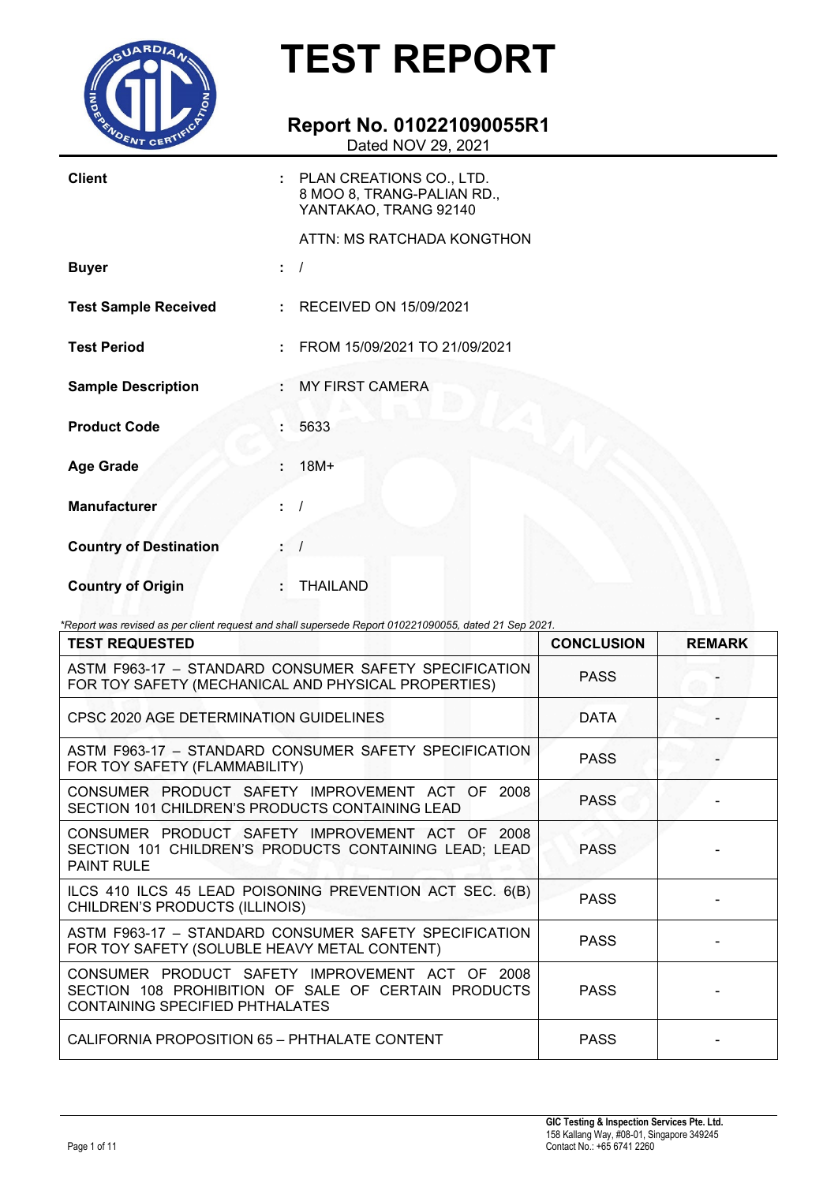

### **Report No. 010221090055R1**

Dated NOV 29, 2021

| <b>Client</b>                 | : PLAN CREATIONS CO., LTD.<br>8 MOO 8, TRANG-PALIAN RD.,<br>YANTAKAO, TRANG 92140 |
|-------------------------------|-----------------------------------------------------------------------------------|
|                               | ATTN: MS RATCHADA KONGTHON                                                        |
| <b>Buyer</b>                  |                                                                                   |
| <b>Test Sample Received</b>   | : RECEIVED ON 15/09/2021                                                          |
| <b>Test Period</b>            | FROM 15/09/2021 TO 21/09/2021                                                     |
| <b>Sample Description</b>     | <b>MY FIRST CAMERA</b>                                                            |
| <b>Product Code</b>           | 5633                                                                              |
| <b>Age Grade</b>              | $18M+$                                                                            |
| <b>Manufacturer</b>           |                                                                                   |
| <b>Country of Destination</b> |                                                                                   |
| <b>Country of Origin</b>      | <b>THAILAND</b>                                                                   |

*\*Report was revised as per client request and shall supersede Report 010221090055, dated 21 Sep 2021.*

| <b>TEST REQUESTED</b>                                                                                                                     | <b>CONCLUSION</b> | <b>REMARK</b> |
|-------------------------------------------------------------------------------------------------------------------------------------------|-------------------|---------------|
| ASTM F963-17 - STANDARD CONSUMER SAFETY SPECIFICATION<br>FOR TOY SAFETY (MECHANICAL AND PHYSICAL PROPERTIES)                              | <b>PASS</b>       |               |
| CPSC 2020 AGE DETERMINATION GUIDELINES                                                                                                    | <b>DATA</b>       |               |
| ASTM F963-17 - STANDARD CONSUMER SAFETY SPECIFICATION<br>FOR TOY SAFETY (FLAMMABILITY)                                                    | <b>PASS</b>       |               |
| CONSUMER PRODUCT SAFETY IMPROVEMENT ACT OF<br>2008<br>SECTION 101 CHILDREN'S PRODUCTS CONTAINING LEAD                                     | <b>PASS</b>       |               |
| CONSUMER PRODUCT SAFETY IMPROVEMENT ACT OF 2008<br>SECTION 101 CHILDREN'S PRODUCTS CONTAINING LEAD; LEAD<br><b>PAINT RULE</b>             | <b>PASS</b>       |               |
| ILCS 410 ILCS 45 LEAD POISONING PREVENTION ACT SEC. 6(B)<br>CHILDREN'S PRODUCTS (ILLINOIS)                                                | <b>PASS</b>       |               |
| ASTM F963-17 - STANDARD CONSUMER SAFETY SPECIFICATION<br>FOR TOY SAFETY (SOLUBLE HEAVY METAL CONTENT)                                     | <b>PASS</b>       |               |
| CONSUMER PRODUCT SAFETY IMPROVEMENT ACT OF 2008<br>SECTION 108 PROHIBITION OF SALE OF CERTAIN PRODUCTS<br>CONTAINING SPECIFIED PHTHALATES | <b>PASS</b>       |               |
| CALIFORNIA PROPOSITION 65 - PHTHALATE CONTENT                                                                                             | <b>PASS</b>       |               |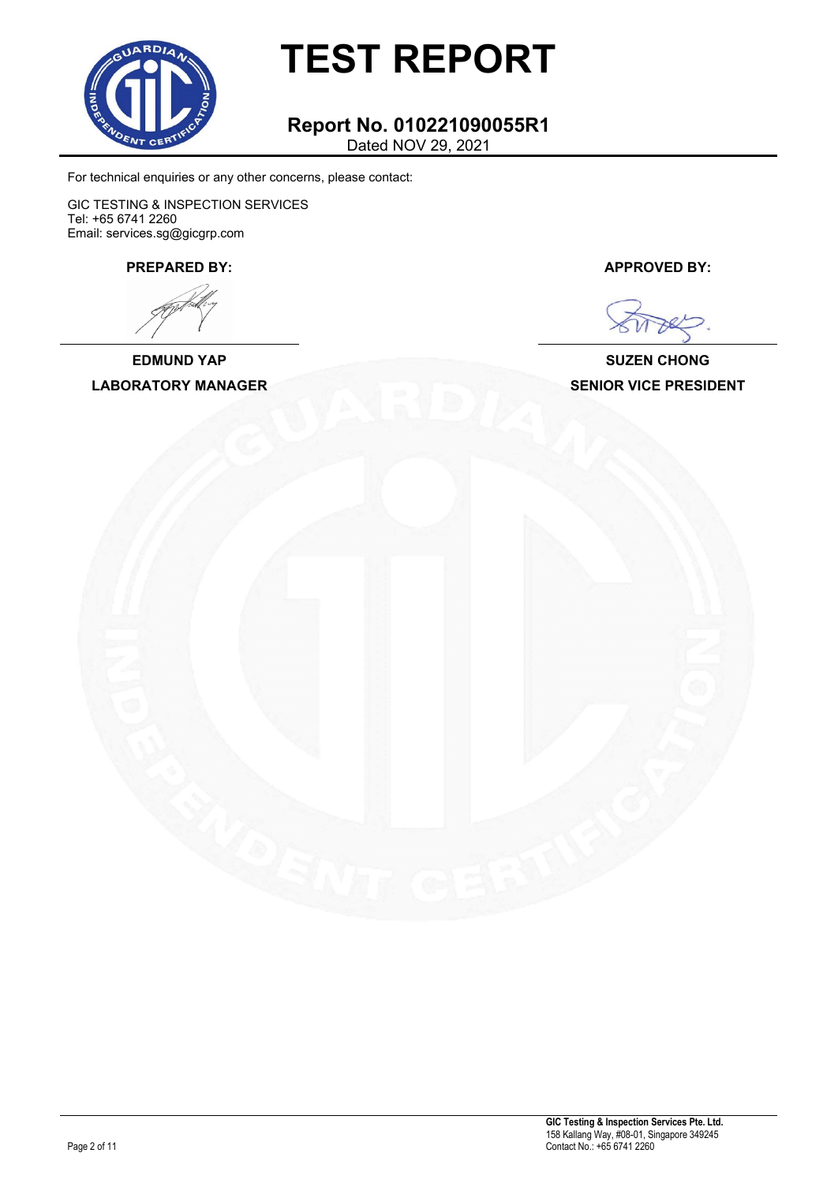

#### **Report No. 010221090055R1** Dated NOV 29, 2021

For technical enquiries or any other concerns, please contact:

GIC TESTING & INSPECTION SERVICES Tel: +65 6741 2260 Email: services.sg@gicgrp.com

**PREPARED BY: APPROVED BY:**

**EDMUND YAP SUZEN CHONG**

**LABORATORY MANAGER SENIOR VICE PRESIDENT**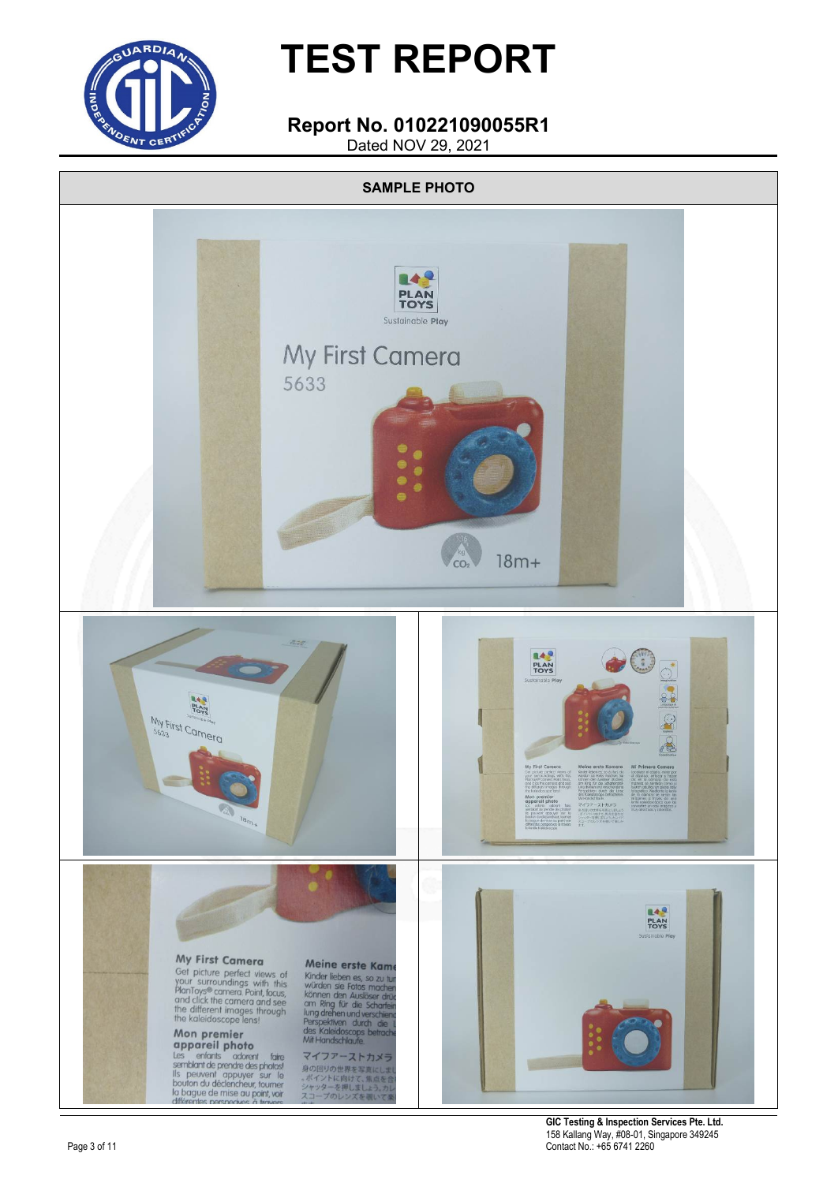

### **Report No. 010221090055R1**

Dated NOV 29, 2021



**GIC Testing & Inspection Services Pte. Ltd.** 158 Kallang Way, #08-01, Singapore 349245 Contact No.: +65 6741 2260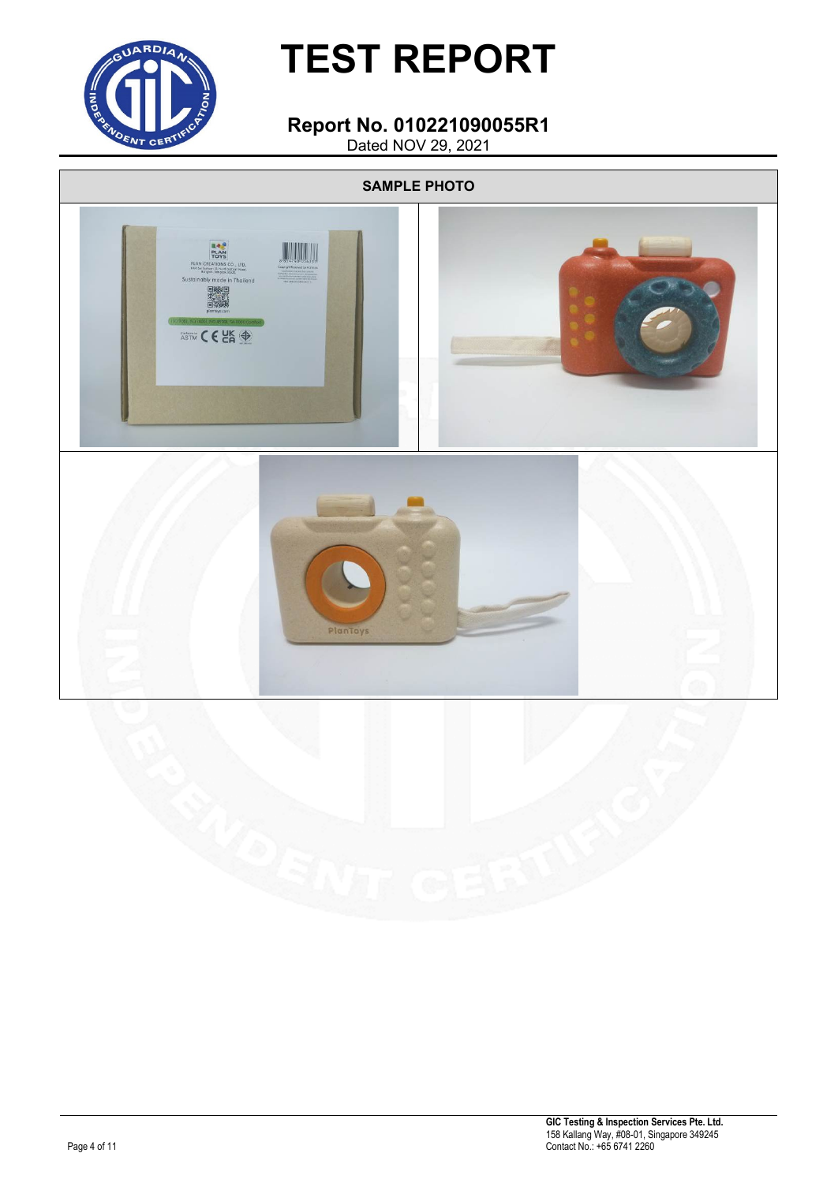

#### **Report No. 010221090055R1** Dated NOV 29, 2021

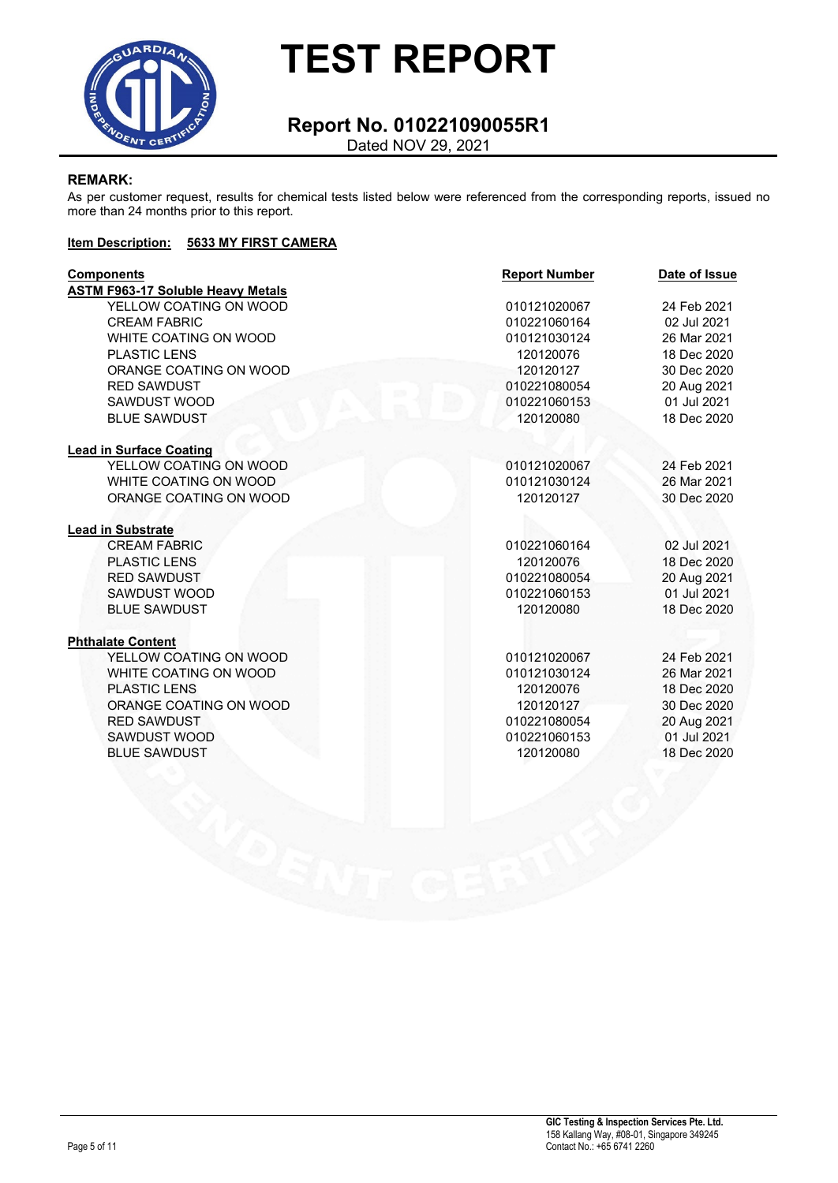

### **Report No. 010221090055R1**

Dated NOV 29, 2021

#### **REMARK:**

As per customer request, results for chemical tests listed below were referenced from the corresponding reports, issued no more than 24 months prior to this report.

#### **Item Description: 5633 MY FIRST CAMERA**

| <b>Components</b>                        | <b>Report Number</b> | Date of Issue |
|------------------------------------------|----------------------|---------------|
| <b>ASTM F963-17 Soluble Heavy Metals</b> |                      |               |
| YELLOW COATING ON WOOD                   | 010121020067         | 24 Feb 2021   |
| <b>CREAM FABRIC</b>                      | 010221060164         | 02 Jul 2021   |
| WHITE COATING ON WOOD                    | 010121030124         | 26 Mar 2021   |
| <b>PLASTIC LENS</b>                      | 120120076            | 18 Dec 2020   |
| ORANGE COATING ON WOOD                   | 120120127            | 30 Dec 2020   |
| <b>RED SAWDUST</b>                       | 010221080054         | 20 Aug 2021   |
| SAWDUST WOOD                             | 010221060153         | 01 Jul 2021   |
| <b>BLUE SAWDUST</b>                      | 120120080            | 18 Dec 2020   |
| <b>Lead in Surface Coating</b>           |                      |               |
| YELLOW COATING ON WOOD                   | 010121020067         | 24 Feb 2021   |
| WHITE COATING ON WOOD                    | 010121030124         | 26 Mar 2021   |
| ORANGE COATING ON WOOD                   | 120120127            | 30 Dec 2020   |
| <b>Lead in Substrate</b>                 |                      |               |
| <b>CREAM FABRIC</b>                      | 010221060164         | 02 Jul 2021   |
| <b>PLASTIC LENS</b>                      | 120120076            | 18 Dec 2020   |
| <b>RED SAWDUST</b>                       | 010221080054         | 20 Aug 2021   |
| SAWDUST WOOD                             | 010221060153         | 01 Jul 2021   |
| <b>BLUE SAWDUST</b>                      | 120120080            | 18 Dec 2020   |
| <b>Phthalate Content</b>                 |                      |               |
| YELLOW COATING ON WOOD                   | 010121020067         | 24 Feb 2021   |
| WHITE COATING ON WOOD                    | 010121030124         | 26 Mar 2021   |
| <b>PLASTIC LENS</b>                      | 120120076            | 18 Dec 2020   |
| ORANGE COATING ON WOOD                   | 120120127            | 30 Dec 2020   |
| <b>RED SAWDUST</b>                       | 010221080054         | 20 Aug 2021   |
| SAWDUST WOOD                             | 010221060153         | 01 Jul 2021   |
| <b>BLUE SAWDUST</b>                      | 120120080            | 18 Dec 2020   |
|                                          |                      |               |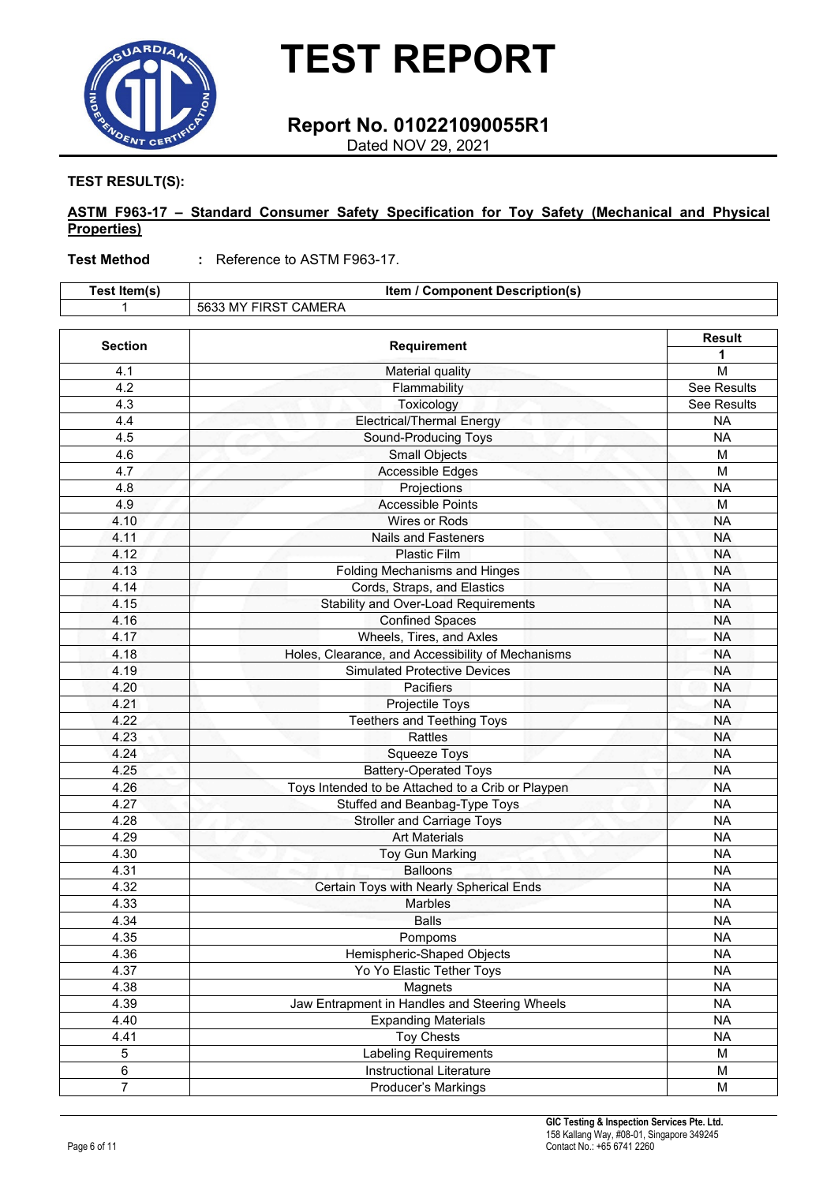

### **Report No. 010221090055R1**

Dated NOV 29, 2021

**TEST RESULT(S):**

#### **ASTM F963-17 – Standard Consumer Safety Specification for Toy Safety (Mechanical and Physical Properties)**

**Test Method :** Reference to ASTM F963-17.

| Test Item(s)   | <b>Item / Component Description(s)</b>            |                    |
|----------------|---------------------------------------------------|--------------------|
|                | 5633 MY FIRST CAMERA                              |                    |
| <b>Section</b> | <b>Requirement</b>                                | <b>Result</b>      |
|                |                                                   | 1                  |
| 4.1            | Material quality                                  | M                  |
| 4.2            | Flammability                                      | <b>See Results</b> |
| 4.3            | Toxicology                                        | <b>See Results</b> |
| 4.4            | <b>Electrical/Thermal Energy</b>                  | <b>NA</b>          |
| 4.5            | Sound-Producing Toys                              | <b>NA</b>          |
| 4.6            | <b>Small Objects</b>                              | M                  |
| 4.7            | <b>Accessible Edges</b>                           | M                  |
| 4.8            | Projections                                       | <b>NA</b>          |
| 4.9            | <b>Accessible Points</b>                          | M                  |
| 4.10           | Wires or Rods                                     | <b>NA</b>          |
| 4.11           | <b>Nails and Fasteners</b>                        | <b>NA</b>          |
| 4.12           | Plastic Film                                      | <b>NA</b>          |
| 4.13           | <b>Folding Mechanisms and Hinges</b>              | <b>NA</b>          |
| 4.14           | Cords, Straps, and Elastics                       | <b>NA</b>          |
| 4.15           | <b>Stability and Over-Load Requirements</b>       | <b>NA</b>          |
| 4.16           | <b>Confined Spaces</b>                            | <b>NA</b>          |
| 4.17           | Wheels, Tires, and Axles                          | <b>NA</b>          |
| 4.18           | Holes, Clearance, and Accessibility of Mechanisms | <b>NA</b>          |
| 4.19           | <b>Simulated Protective Devices</b>               | <b>NA</b>          |
| 4.20           | Pacifiers                                         | <b>NA</b>          |
| 4.21           | Projectile Toys                                   | <b>NA</b>          |
| 4.22           | <b>Teethers and Teething Toys</b>                 | <b>NA</b>          |
| 4.23           | Rattles                                           | <b>NA</b>          |
| 4.24           | Squeeze Toys                                      | <b>NA</b>          |
| 4.25           | Battery-Operated Toys                             | <b>NA</b>          |
| 4.26           | Toys Intended to be Attached to a Crib or Playpen | <b>NA</b>          |
| 4.27           | Stuffed and Beanbag-Type Toys                     | <b>NA</b>          |
| 4.28           | <b>Stroller and Carriage Toys</b>                 | <b>NA</b>          |
| 4.29           | <b>Art Materials</b>                              | <b>NA</b>          |
| 4.30           | <b>Toy Gun Marking</b>                            | <b>NA</b>          |
| 4.31           | <b>Balloons</b>                                   | <b>NA</b>          |
| 4.32           | Certain Toys with Nearly Spherical Ends           | <b>NA</b>          |
| 4.33           | <b>Marbles</b>                                    | <b>NA</b>          |
| 4.34           | Balls                                             | NA.                |
| 4.35           | Pompoms                                           | <b>NA</b>          |
| 4.36           | Hemispheric-Shaped Objects                        | <b>NA</b>          |
| 4.37           | Yo Yo Elastic Tether Toys                         | <b>NA</b>          |
| 4.38           | Magnets                                           | <b>NA</b>          |
| 4.39           | Jaw Entrapment in Handles and Steering Wheels     | <b>NA</b>          |
| 4.40           | <b>Expanding Materials</b>                        | <b>NA</b>          |
| 4.41           | <b>Toy Chests</b>                                 | <b>NA</b>          |
| 5              | <b>Labeling Requirements</b>                      | M                  |
| $\overline{6}$ | Instructional Literature                          | M                  |
| $\overline{7}$ | Producer's Markings                               | M                  |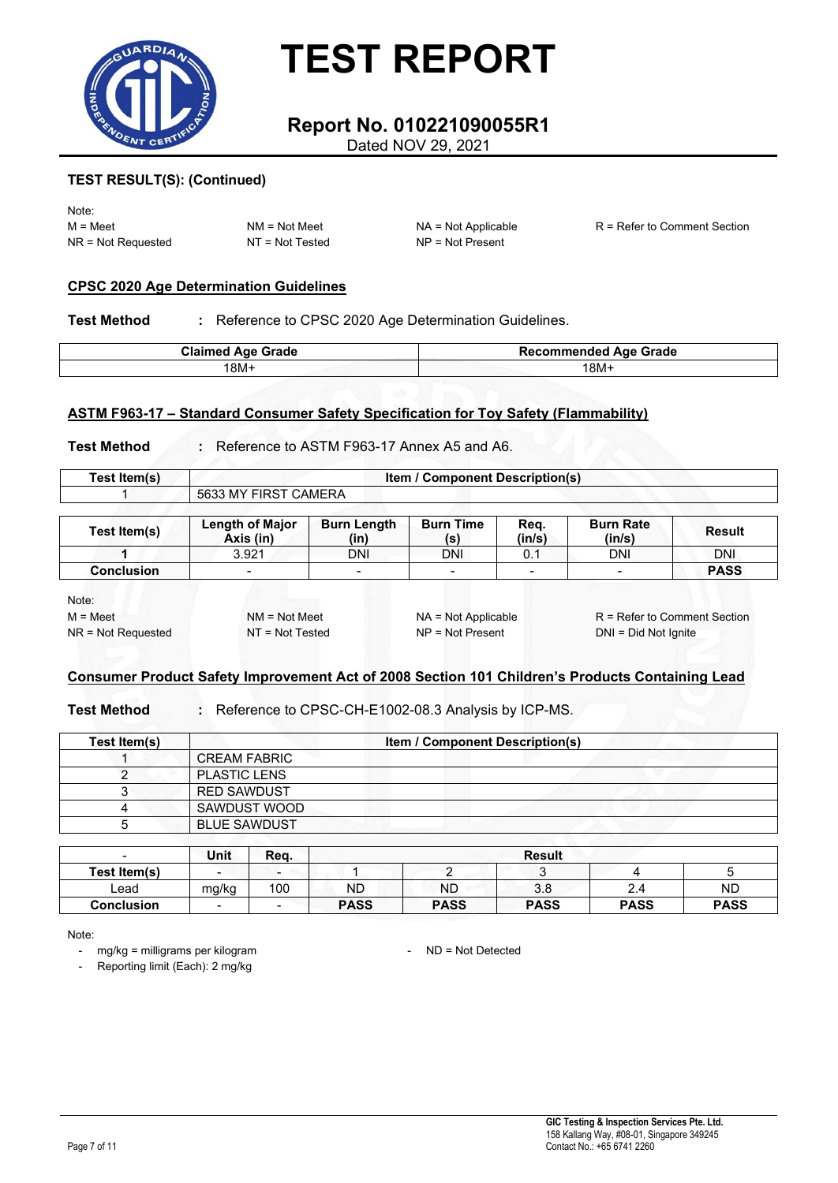

### **Report No. 010221090055R1**

Dated NOV 29, 2021

#### **TEST RESULT(S): (Continued)**

Note: NR = Not Requested NT = Not Tested NP = Not Present

M = Meet NM = Not Meet NA = Not Applicable R = Refer to Comment Section

#### **CPSC 2020 Age Determination Guidelines**

**Test Method :** Reference to CPSC 2020 Age Determination Guidelines.

| <b>Claimed Age Grade</b> | <b>Recommended Age Grade</b> |  |
|--------------------------|------------------------------|--|
| 18M+                     | $18M +$                      |  |

#### **ASTM F963-17 – Standard Consumer Safety Specification for Toy Safety (Flammability)**

**Test Method :** Reference to ASTM F963-17 Annex A5 and A6.

| <b>Fest Item(s)</b> |                                       | / Component Description(s)<br>ltem |
|---------------------|---------------------------------------|------------------------------------|
|                     | CAMERA<br>5633<br><b>FIRST</b><br>.MY |                                    |

| Test Item(s)      | <b>Length of Major</b><br>Axis (in) | <b>Burn Length</b><br>(in) | <b>Burn Time</b><br>(s)  | Reg.<br>(in/s) | <b>Burn Rate</b><br>(in/s) | <b>Result</b> |
|-------------------|-------------------------------------|----------------------------|--------------------------|----------------|----------------------------|---------------|
|                   | 3.921                               | DNI                        | DNI                      |                | DNI                        | DNI           |
| <b>Conclusion</b> | $\overline{\phantom{0}}$            |                            | $\overline{\phantom{a}}$ | -              | -                          | <b>PASS</b>   |

Note:

NR = Not Requested NT = Not Tested NP = Not Present DNI = Did Not Ignite

M = Meet NM = Not Meet NA = Not Applicable R = Refer to Comment Section

#### **Consumer Product Safety Improvement Act of 2008 Section 101 Children's Products Containing Lead**

**Test Method :** Reference to CPSC-CH-E1002-08.3 Analysis by ICP-MS.

| Test Item(s) |                     | <b>Item / Component Description(s)</b> |  |
|--------------|---------------------|----------------------------------------|--|
|              | <b>CREAM FABRIC</b> |                                        |  |
|              | <b>PLASTIC LENS</b> |                                        |  |
|              | <b>RED SAWDUST</b>  |                                        |  |
|              | SAWDUST WOOD        |                                        |  |
|              | <b>BLUE SAWDUST</b> |                                        |  |

| $\overline{\phantom{0}}$ | Unit   | Reg.   |             |             | <b>Result</b> |             |             |
|--------------------------|--------|--------|-------------|-------------|---------------|-------------|-------------|
| Test Item(s)             | -      | $\sim$ |             | -           |               |             |             |
| Lead                     | mg/kg  | 100    | <b>ND</b>   | ΝD          | 3.8           | ^<br>2.4    | <b>ND</b>   |
| <b>Conclusion</b>        | $\sim$ | $\sim$ | <b>PASS</b> | <b>PASS</b> | <b>PASS</b>   | <b>PASS</b> | <b>PASS</b> |

Note:

- mg/kg = milligrams per kilogram - ND = Not Detected

- Reporting limit (Each): 2 mg/kg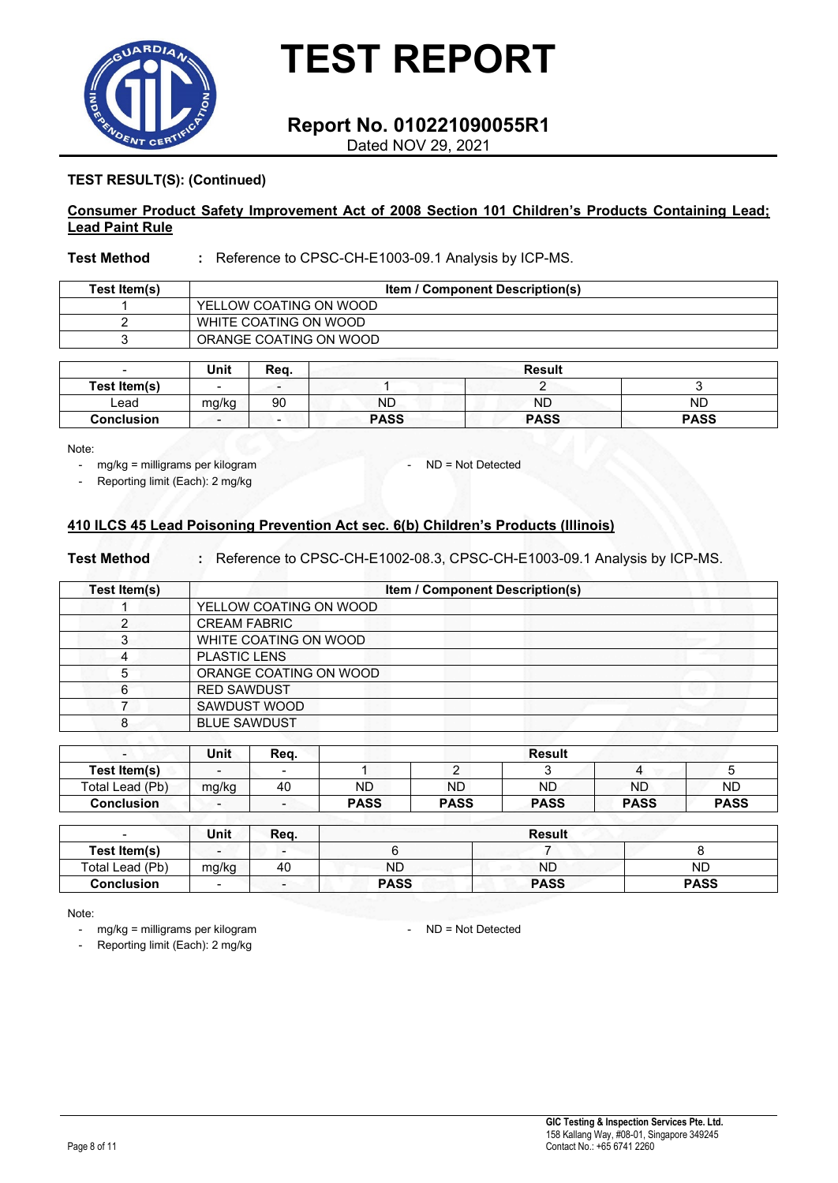

### **Report No. 010221090055R1**

Dated NOV 29, 2021

#### **TEST RESULT(S): (Continued)**

#### **Consumer Product Safety Improvement Act of 2008 Section 101 Children's Products Containing Lead; Lead Paint Rule**

#### **Test Method :** Reference to CPSC-CH-E1003-09.1 Analysis by ICP-MS.

| Test Item(s) | <b>Item / Component Description(s)</b> |
|--------------|----------------------------------------|
|              | YELLOW COATING ON WOOD                 |
|              | WHITE COATING ON WOOD                  |
|              | ORANGE COATING ON WOOD                 |
|              |                                        |

| $\overline{\phantom{0}}$ | Unit                     | Reg.                     |             | <b>Result</b> |             |
|--------------------------|--------------------------|--------------------------|-------------|---------------|-------------|
| Test Item(s)             | $\overline{\phantom{0}}$ | $\overline{\phantom{a}}$ |             |               |             |
| ∟ead                     | mg/kg                    | 90                       | ND          | <b>ND</b>     | ND          |
| <b>Conclusion</b>        | $\overline{\phantom{0}}$ | $\overline{\phantom{0}}$ | <b>PASS</b> | <b>PASS</b>   | <b>PASS</b> |

Note:

- mg/kg = milligrams per kilogram ND = Not Detected
- Reporting limit (Each): 2 mg/kg

#### **410 ILCS 45 Lead Poisoning Prevention Act sec. 6(b) Children's Products (Illinois)**

#### **Test Method :** Reference to CPSC-CH-E1002-08.3, CPSC-CH-E1003-09.1 Analysis by ICP-MS.

| Test Item(s) | Item / Component Description(s) |  |
|--------------|---------------------------------|--|
|              | YELLOW COATING ON WOOD          |  |
|              | <b>CREAM FABRIC</b>             |  |
| 3            | WHITE COATING ON WOOD           |  |
| 4            | <b>PLASTIC LENS</b>             |  |
| 5            | ORANGE COATING ON WOOD          |  |
| 6            | <b>RED SAWDUST</b>              |  |
|              | SAWDUST WOOD                    |  |
| 8            | <b>BLUE SAWDUST</b>             |  |
|              |                                 |  |

| $\overline{\phantom{0}}$ | Unit                     | Rea.                     |             |             | <b>Result</b> |             |             |
|--------------------------|--------------------------|--------------------------|-------------|-------------|---------------|-------------|-------------|
| Test Item(s)             | $\overline{\phantom{a}}$ |                          |             |             |               |             |             |
| Total Lead (Pb)          | mg/kg                    | 40                       | <b>ND</b>   | <b>ND</b>   | <b>ND</b>     | <b>ND</b>   | <b>ND</b>   |
| Conclusion               | $\sim$                   | $\overline{\phantom{a}}$ | <b>PASS</b> | <b>PASS</b> | <b>PASS</b>   | <b>PASS</b> | <b>PASS</b> |

| $\overline{\phantom{0}}$ | Unit                     | Req. | <b>Result</b> |             |             |  |  |
|--------------------------|--------------------------|------|---------------|-------------|-------------|--|--|
| Test Item(s)             | $\qquad \qquad$          |      |               |             |             |  |  |
| Total Lead (Pb)          | mg/kg                    | 40   | <b>ND</b>     | ND          | <b>ND</b>   |  |  |
| <b>Conclusion</b>        | $\overline{\phantom{a}}$ | -    | <b>PASS</b>   | <b>PASS</b> | <b>PASS</b> |  |  |

Note:

- mg/kg = milligrams per kilogram entitled and the ND = Not Detected

Reporting limit (Each): 2 mg/kg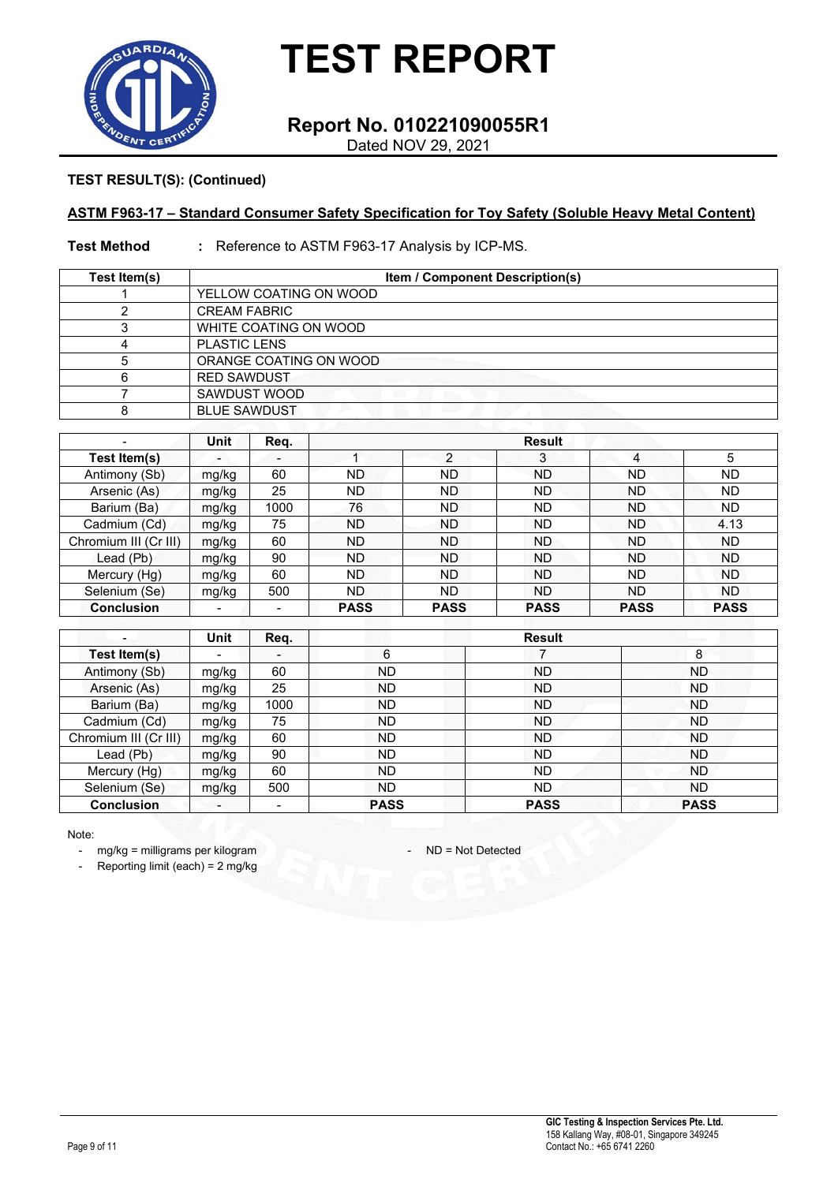

### **Report No. 010221090055R1**

Dated NOV 29, 2021

#### **TEST RESULT(S): (Continued)**

#### **ASTM F963-17 – Standard Consumer Safety Specification for Toy Safety (Soluble Heavy Metal Content)**

#### **Test Method :** Reference to ASTM F963-17 Analysis by ICP-MS.

| Test Item(s) | <b>Item / Component Description(s)</b>  |  |  |  |  |  |  |
|--------------|-----------------------------------------|--|--|--|--|--|--|
|              | YELLOW COATING ON WOOD                  |  |  |  |  |  |  |
|              | <b>CREAM FABRIC</b>                     |  |  |  |  |  |  |
| ົ<br>J       | WHITE COATING ON WOOD                   |  |  |  |  |  |  |
| 4            | <b>PLASTIC LENS</b>                     |  |  |  |  |  |  |
| 5            | ORANGE COATING ON WOOD                  |  |  |  |  |  |  |
| 6            | <b>RED SAWDUST</b>                      |  |  |  |  |  |  |
|              | SAWDUST WOOD<br><b>STAR</b>             |  |  |  |  |  |  |
| 8            | <b>BLUE SAWDUST</b><br><b>12.5 - 22</b> |  |  |  |  |  |  |

|                       | Unit           | Req.                     |             |                | <b>Result</b> |             |             |
|-----------------------|----------------|--------------------------|-------------|----------------|---------------|-------------|-------------|
| Test Item(s)          |                | $\overline{\phantom{0}}$ |             | $\overline{2}$ | 3             | 4           | 5           |
| Antimony (Sb)         | mg/kg          | 60                       | <b>ND</b>   | ND             | <b>ND</b>     | ND          | <b>ND</b>   |
| Arsenic (As)          | mg/kg          | 25                       | <b>ND</b>   | ND             | ND            | ND          | <b>ND</b>   |
| Barium (Ba)           | mg/kg          | 1000                     | 76          | ND             | <b>ND</b>     | ND.         | <b>ND</b>   |
| Cadmium (Cd)          | mg/kg          | 75                       | <b>ND</b>   | ND             | <b>ND</b>     | <b>ND</b>   | 4.13        |
| Chromium III (Cr III) | mg/kg          | 60                       | <b>ND</b>   | <b>ND</b>      | <b>ND</b>     | <b>ND</b>   | <b>ND</b>   |
| Lead (Pb)             | mg/kg          | 90                       | <b>ND</b>   | ND             | <b>ND</b>     | <b>ND</b>   | <b>ND</b>   |
| Mercury (Hg)          | mg/kg          | 60                       | <b>ND</b>   | ND.            | <b>ND</b>     | <b>ND</b>   | <b>ND</b>   |
| Selenium (Se)         | mg/kg          | 500                      | <b>ND</b>   | ND.            | <b>ND</b>     | <b>ND</b>   | ND.         |
| <b>Conclusion</b>     | $\blacksquare$ |                          | <b>PASS</b> | <b>PASS</b>    | <b>PASS</b>   | <b>PASS</b> | <b>PASS</b> |

|                       | Unit                     | Req.                     |             | <b>Result</b> |             |
|-----------------------|--------------------------|--------------------------|-------------|---------------|-------------|
| Test Item(s)          | $\overline{\phantom{a}}$ | $\overline{\phantom{0}}$ | 6           |               | 8           |
| Antimony (Sb)         | mg/kg                    | 60                       | ND.         | <b>ND</b>     | <b>ND</b>   |
| Arsenic (As)          | mg/kg                    | 25                       | ND.         | <b>ND</b>     | <b>ND</b>   |
| Barium (Ba)           | mg/kg                    | 1000                     | ND.         | <b>ND</b>     | ND          |
| Cadmium (Cd)          | mg/kg                    | 75                       | ND.         | <b>ND</b>     | ND.         |
| Chromium III (Cr III) | mg/kg                    | 60                       | ND.         | <b>ND</b>     | <b>ND</b>   |
| Lead (Pb)             | mg/kg                    | 90                       | ND.         | <b>ND</b>     | <b>ND</b>   |
| Mercury (Hg)          | mg/kg                    | 60                       | ND.         | <b>ND</b>     | <b>ND</b>   |
| Selenium (Se)         | mg/kg                    | 500                      | ND.         | ND.           | <b>ND</b>   |
| <b>Conclusion</b>     | $\overline{\phantom{a}}$ |                          | <b>PASS</b> | <b>PASS</b>   | <b>PASS</b> |

Note:

- mg/kg = milligrams per kilogram - ND = Not Detected

- Reporting limit (each) = 2 mg/kg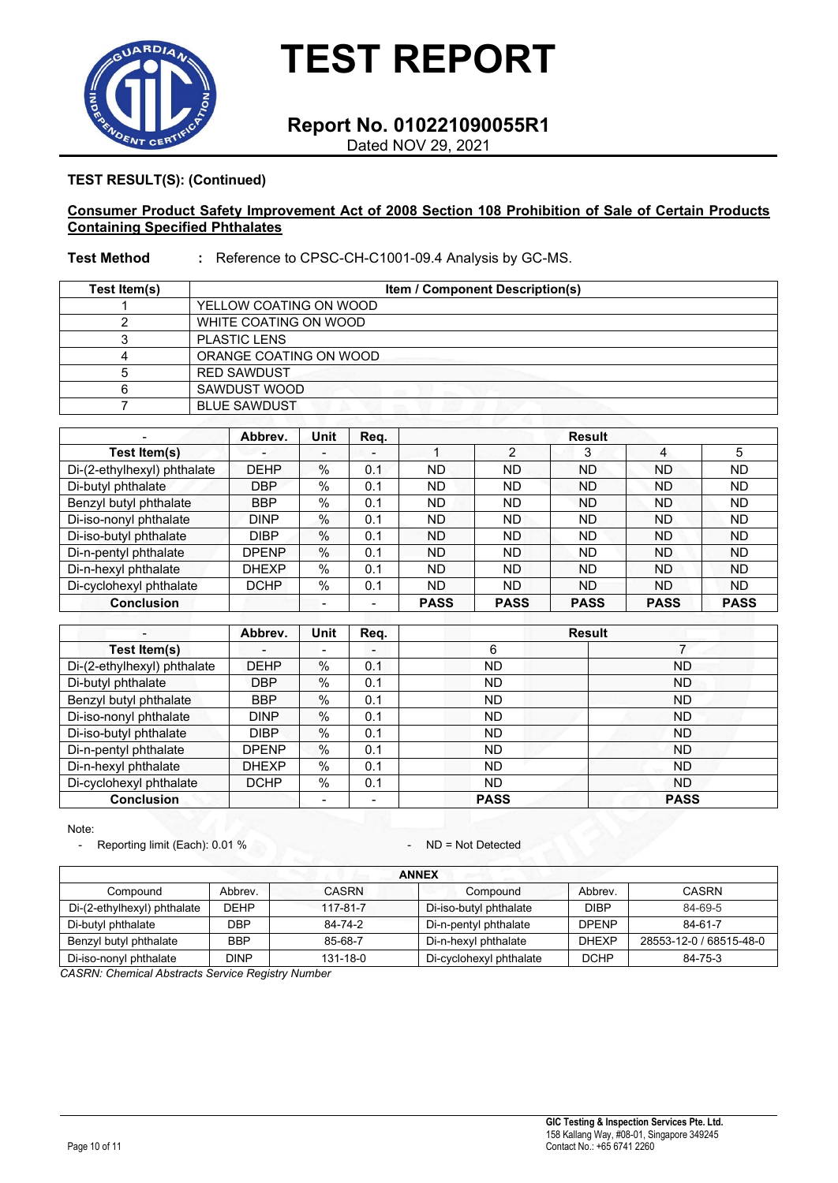

### **Report No. 010221090055R1**

Dated NOV 29, 2021

#### **TEST RESULT(S): (Continued)**

#### **Consumer Product Safety Improvement Act of 2008 Section 108 Prohibition of Sale of Certain Products Containing Specified Phthalates**

#### **Test Method :** Reference to CPSC-CH-C1001-09.4 Analysis by GC-MS.

| Test Item(s) | <b>Item / Component Description(s)</b> |  |  |  |  |  |  |  |
|--------------|----------------------------------------|--|--|--|--|--|--|--|
|              | YELLOW COATING ON WOOD                 |  |  |  |  |  |  |  |
|              | WHITE COATING ON WOOD                  |  |  |  |  |  |  |  |
|              | <b>PLASTIC LENS</b>                    |  |  |  |  |  |  |  |
| Δ            | ORANGE COATING ON WOOD                 |  |  |  |  |  |  |  |
|              | <b>RED SAWDUST</b>                     |  |  |  |  |  |  |  |
| 6            | SAWDUST WOOD                           |  |  |  |  |  |  |  |
|              | <b>BLUE SAWDUST</b>                    |  |  |  |  |  |  |  |

|                             | Abbrev.      | Unit                     | Reg.           | <b>Result</b> |             |             |             |             |
|-----------------------------|--------------|--------------------------|----------------|---------------|-------------|-------------|-------------|-------------|
| Test Item(s)                |              | $\overline{\phantom{0}}$ | $\blacksquare$ |               | っ           | 3           | 4           | 5           |
| Di-(2-ethylhexyl) phthalate | <b>DEHP</b>  | $\%$                     | 0.1            | <b>ND</b>     | <b>ND</b>   | <b>ND</b>   | <b>ND</b>   | <b>ND</b>   |
| Di-butyl phthalate          | <b>DBP</b>   | $\%$                     | 0.1            | <b>ND</b>     | ND          | <b>ND</b>   | <b>ND</b>   | <b>ND</b>   |
| Benzyl butyl phthalate      | <b>BBP</b>   | $\%$                     | 0.1            | <b>ND</b>     | <b>ND</b>   | <b>ND</b>   | <b>ND</b>   | <b>ND</b>   |
| Di-iso-nonyl phthalate      | <b>DINP</b>  | $\%$                     | 0.1            | <b>ND</b>     | ND.         | <b>ND</b>   | <b>ND</b>   | <b>ND</b>   |
| Di-iso-butyl phthalate      | <b>DIBP</b>  | $\%$                     | 0.1            | <b>ND</b>     | ND.         | <b>ND</b>   | <b>ND</b>   | <b>ND</b>   |
| Di-n-pentyl phthalate       | DPENP        | $\%$                     | 0.1            | <b>ND</b>     | ND.         | <b>ND</b>   | <b>ND</b>   | <b>ND</b>   |
| Di-n-hexyl phthalate        | <b>DHEXP</b> | %                        | 0.1            | <b>ND</b>     | <b>ND</b>   | <b>ND</b>   | <b>ND</b>   | <b>ND</b>   |
| Di-cyclohexyl phthalate     | DCHP         | $\%$                     | 0.1            | <b>ND</b>     | ND.         | <b>ND</b>   | <b>ND</b>   | <b>ND</b>   |
| <b>Conclusion</b>           |              | -                        |                | <b>PASS</b>   | <b>PASS</b> | <b>PASS</b> | <b>PASS</b> | <b>PASS</b> |

|                             | Abbrev.      | <b>Unit</b>              | Req.           | <b>Result</b> |             |  |
|-----------------------------|--------------|--------------------------|----------------|---------------|-------------|--|
| Test Item(s)                |              | $\overline{\phantom{0}}$ | $\blacksquare$ | 6             |             |  |
| Di-(2-ethylhexyl) phthalate | <b>DEHP</b>  | %                        | 0.1            | ND            | <b>ND</b>   |  |
| Di-butyl phthalate          | <b>DBP</b>   | %                        | 0.1            | ND.           | ND.         |  |
| Benzyl butyl phthalate      | <b>BBP</b>   | $\%$                     | 0.1            | ND.           | <b>ND</b>   |  |
| Di-iso-nonyl phthalate      | <b>DINP</b>  | $\%$                     | 0.1            | ND.           | <b>ND</b>   |  |
| Di-iso-butyl phthalate      | <b>DIBP</b>  | $\%$                     | 0.1            | <b>ND</b>     | <b>ND</b>   |  |
| Di-n-pentyl phthalate       | <b>DPENP</b> | %                        | 0.1            | <b>ND</b>     | <b>ND</b>   |  |
| Di-n-hexyl phthalate        | <b>DHEXP</b> | $\%$                     | 0.1            | <b>ND</b>     | <b>ND</b>   |  |
| Di-cyclohexyl phthalate     | <b>DCHP</b>  | $\%$                     | 0.1            | <b>ND</b>     | <b>ND</b>   |  |
| <b>Conclusion</b>           |              | $\overline{\phantom{0}}$ | $\blacksquare$ | <b>PASS</b>   | <b>PASS</b> |  |

Note:

- Reporting limit (Each): 0.01 %

| <b>ANNEX</b>                |             |          |                         |              |                         |  |  |  |  |  |
|-----------------------------|-------------|----------|-------------------------|--------------|-------------------------|--|--|--|--|--|
| Compound                    | Abbrey.     | CASRN    | Compound                | Abbrev.      | <b>CASRN</b>            |  |  |  |  |  |
| Di-(2-ethylhexyl) phthalate | <b>DEHP</b> | 117-81-7 | Di-iso-butyl phthalate  | <b>DIBP</b>  | 84-69-5                 |  |  |  |  |  |
| Di-butyl phthalate          | DBP         | 84-74-2  | Di-n-pentyl phthalate   | <b>DPENP</b> | 84-61-7                 |  |  |  |  |  |
| Benzyl butyl phthalate      | <b>BBP</b>  | 85-68-7  | Di-n-hexyl phthalate    | <b>DHEXP</b> | 28553-12-0 / 68515-48-0 |  |  |  |  |  |
| Di-iso-nonyl phthalate      | <b>DINP</b> | 131-18-0 | Di-cyclohexyl phthalate | <b>DCHP</b>  | 84-75-3                 |  |  |  |  |  |

*CASRN: Chemical Abstracts Service Registry Number*